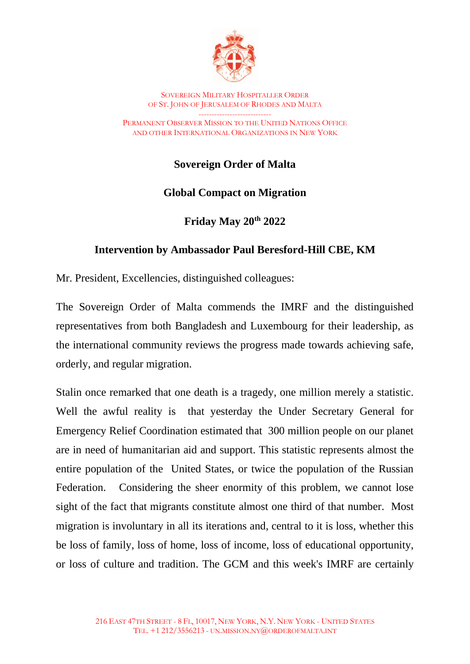

SOVEREIGN MILITARY HOSPITALLER ORDER OF ST. JOHN OF JERUSALEM OF RHODES AND MALTA ----------------------------

PERMANENT OBSERVER MISSION TO THE UNITED NATIONS OFFICE AND OTHER INTERNATIONAL ORGANIZATIONS IN NEW YORK

**Sovereign Order of Malta**

## **Global Compact on Migration**

**Friday May 20th 2022**

## **Intervention by Ambassador Paul Beresford-Hill CBE, KM**

Mr. President, Excellencies, distinguished colleagues:

The Sovereign Order of Malta commends the IMRF and the distinguished representatives from both Bangladesh and Luxembourg for their leadership, as the international community reviews the progress made towards achieving safe, orderly, and regular migration.

Stalin once remarked that one death is a tragedy, one million merely a statistic. Well the awful reality is that yesterday the Under Secretary General for Emergency Relief Coordination estimated that 300 million people on our planet are in need of humanitarian aid and support. This statistic represents almost the entire population of the United States, or twice the population of the Russian Federation. Considering the sheer enormity of this problem, we cannot lose sight of the fact that migrants constitute almost one third of that number. Most migration is involuntary in all its iterations and, central to it is loss, whether this be loss of family, loss of home, loss of income, loss of educational opportunity, or loss of culture and tradition. The GCM and this week's IMRF are certainly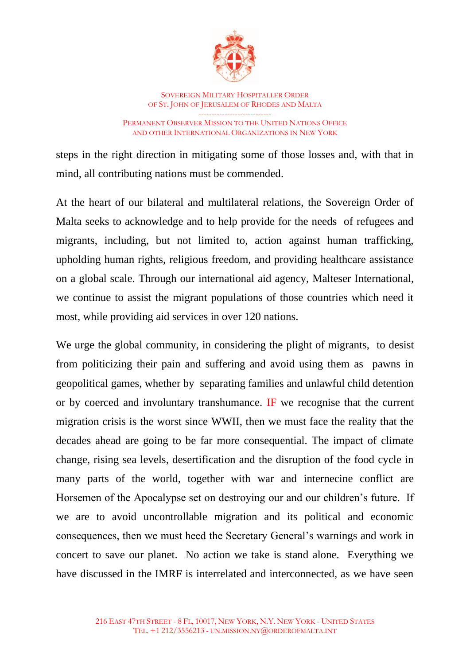

SOVEREIGN MILITARY HOSPITALLER ORDER OF ST. JOHN OF JERUSALEM OF RHODES AND MALTA ---------------------------- PERMANENT OBSERVER MISSION TO THE UNITED NATIONS OFFICE AND OTHER INTERNATIONAL ORGANIZATIONS IN NEW YORK

steps in the right direction in mitigating some of those losses and, with that in mind, all contributing nations must be commended.

At the heart of our bilateral and multilateral relations, the Sovereign Order of Malta seeks to acknowledge and to help provide for the needs of refugees and migrants, including, but not limited to, action against human trafficking, upholding human rights, religious freedom, and providing healthcare assistance on a global scale. Through our international aid agency, Malteser International, we continue to assist the migrant populations of those countries which need it most, while providing aid services in over 120 nations.

We urge the global community, in considering the plight of migrants, to desist from politicizing their pain and suffering and avoid using them as pawns in geopolitical games, whether by separating families and unlawful child detention or by coerced and involuntary transhumance. IF we recognise that the current migration crisis is the worst since WWII, then we must face the reality that the decades ahead are going to be far more consequential. The impact of climate change, rising sea levels, desertification and the disruption of the food cycle in many parts of the world, together with war and internecine conflict are Horsemen of the Apocalypse set on destroying our and our children's future. If we are to avoid uncontrollable migration and its political and economic consequences, then we must heed the Secretary General's warnings and work in concert to save our planet. No action we take is stand alone. Everything we have discussed in the IMRF is interrelated and interconnected, as we have seen